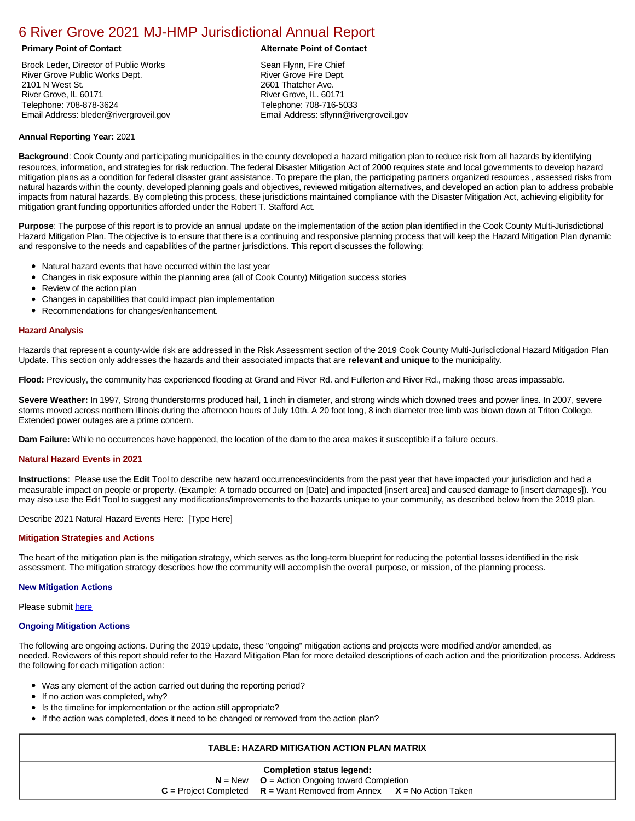# [6 River Grove 2021 MJ-HMP Jurisdictional Annual Report](https://rivergrove.isc-cemp.com/Cemp/Details?id=8322872)

Brock Leder, Director of Public Works River Grove Public Works Dept. 2101 N West St. River Grove, IL 60171 Telephone: 708-878-3624 Email Address: bleder@rivergroveil.gov

#### **Primary Point of Contact Alternate Point of Contact**

Sean Flynn, Fire Chief River Grove Fire Dept. 2601 Thatcher Ave. River Grove, IL. 60171 Telephone: 708-716-5033 Email Address: sflynn@rivergroveil.gov

#### **Annual Reporting Year:** 2021

**Background**: Cook County and participating municipalities in the county developed a hazard mitigation plan to reduce risk from all hazards by identifying resources, information, and strategies for risk reduction. The federal Disaster Mitigation Act of 2000 requires state and local governments to develop hazard mitigation plans as a condition for federal disaster grant assistance. To prepare the plan, the participating partners organized resources , assessed risks from natural hazards within the county, developed planning goals and objectives, reviewed mitigation alternatives, and developed an action plan to address probable impacts from natural hazards. By completing this process, these jurisdictions maintained compliance with the Disaster Mitigation Act, achieving eligibility for mitigation grant funding opportunities afforded under the Robert T. Stafford Act.

**Purpose**: The purpose of this report is to provide an annual update on the implementation of the action plan identified in the Cook County Multi-Jurisdictional Hazard Mitigation Plan. The objective is to ensure that there is a continuing and responsive planning process that will keep the Hazard Mitigation Plan dynamic and responsive to the needs and capabilities of the partner jurisdictions. This report discusses the following:

- Natural hazard events that have occurred within the last year
- $\bullet$ Changes in risk exposure within the planning area (all of Cook County) Mitigation success stories
- $\bullet$ Review of the action plan
- Changes in capabilities that could impact plan implementation
- Recommendations for changes/enhancement.

### **Hazard Analysis**

Hazards that represent a county-wide risk are addressed in the Risk Assessment section of the 2019 Cook County Multi-Jurisdictional Hazard Mitigation Plan Update. This section only addresses the hazards and their associated impacts that are **relevant** and **unique** to the municipality.

**Flood:** Previously, the community has experienced flooding at Grand and River Rd. and Fullerton and River Rd., making those areas impassable.

**Severe Weather:** In 1997, Strong thunderstorms produced hail, 1 inch in diameter, and strong winds which downed trees and power lines. In 2007, severe storms moved across northern Illinois during the afternoon hours of July 10th. A 20 foot long, 8 inch diameter tree limb was blown down at Triton College. Extended power outages are a prime concern.

**Dam Failure:** While no occurrences have happened, the location of the dam to the area makes it susceptible if a failure occurs.

#### **Natural Hazard Events in 2021**

**Instructions**: Please use the **Edit** Tool to describe new hazard occurrences/incidents from the past year that have impacted your jurisdiction and had a measurable impact on people or property. (Example: A tornado occurred on [Date] and impacted [insert area] and caused damage to [insert damages]). You may also use the Edit Tool to suggest any modifications/improvements to the hazards unique to your community, as described below from the 2019 plan.

Describe 2021 Natural Hazard Events Here: [Type Here]

#### **Mitigation Strategies and Actions**

The heart of the mitigation plan is the mitigation strategy, which serves as the long-term blueprint for reducing the potential losses identified in the risk assessment. The mitigation strategy describes how the community will accomplish the overall purpose, or mission, of the planning process.

#### **New Mitigation Actions**

Please submit [here](https://integratedsolutions.wufoo.com/forms/mg21jvf0jn639o/)

#### **Ongoing Mitigation Actions**

The following are ongoing actions. During the 2019 update, these "ongoing" mitigation actions and projects were modified and/or amended, as needed. Reviewers of this report should refer to the Hazard Mitigation Plan for more detailed descriptions of each action and the prioritization process. Address the following for each mitigation action:

- Was any element of the action carried out during the reporting period?
- If no action was completed, why?
- Is the timeline for implementation or the action still appropriate?
- If the action was completed, does it need to be changed or removed from the action plan?

## **TABLE: HAZARD MITIGATION ACTION PLAN MATRIX**

| <b>Completion status legend:</b> |                                                                             |  |  |  |  |  |  |  |
|----------------------------------|-----------------------------------------------------------------------------|--|--|--|--|--|--|--|
|                                  | $N = New$ $Q =$ Action Ongoing toward Completion                            |  |  |  |  |  |  |  |
|                                  | $C =$ Project Completed $R =$ Want Removed from Annex $X =$ No Action Taken |  |  |  |  |  |  |  |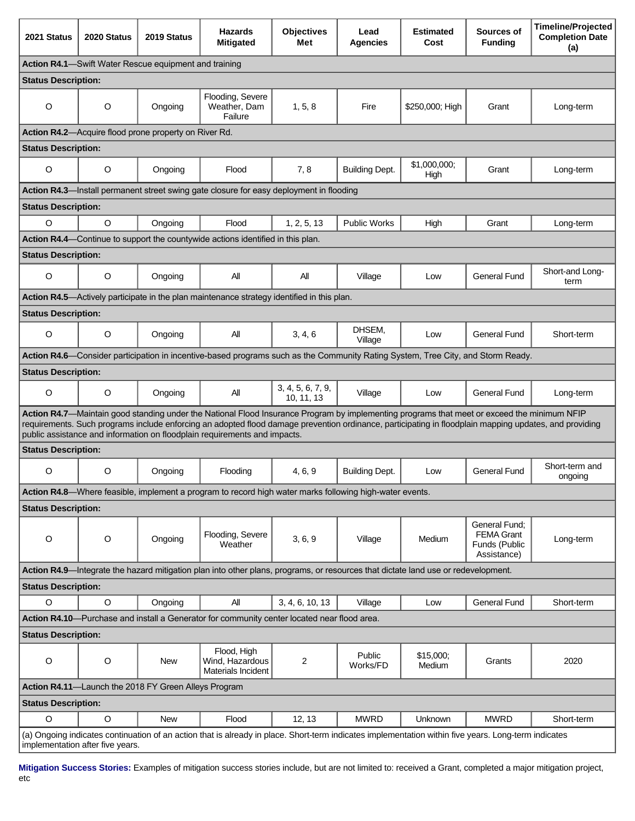| 2021 Status                                                                                                                                                                                                                                                                                                                                                                        | 2020 Status | 2019 Status                                                   | <b>Hazards</b><br><b>Mitigated</b>                                                          | <b>Objectives</b><br>Met        | Lead<br><b>Agencies</b> | <b>Estimated</b><br>Cost | Sources of<br><b>Funding</b>                                       | <b>Timeline/Projected</b><br><b>Completion Date</b><br>(a) |  |  |
|------------------------------------------------------------------------------------------------------------------------------------------------------------------------------------------------------------------------------------------------------------------------------------------------------------------------------------------------------------------------------------|-------------|---------------------------------------------------------------|---------------------------------------------------------------------------------------------|---------------------------------|-------------------------|--------------------------|--------------------------------------------------------------------|------------------------------------------------------------|--|--|
| <b>Action R4.1</b> —Swift Water Rescue equipment and training                                                                                                                                                                                                                                                                                                                      |             |                                                               |                                                                                             |                                 |                         |                          |                                                                    |                                                            |  |  |
| <b>Status Description:</b>                                                                                                                                                                                                                                                                                                                                                         |             |                                                               |                                                                                             |                                 |                         |                          |                                                                    |                                                            |  |  |
| O                                                                                                                                                                                                                                                                                                                                                                                  | O           | Ongoing                                                       | Flooding, Severe<br>Weather, Dam<br>Failure                                                 | 1, 5, 8                         | Fire                    | \$250,000; High          | Grant                                                              | Long-term                                                  |  |  |
|                                                                                                                                                                                                                                                                                                                                                                                    |             | <b>Action R4.2</b> —Acquire flood prone property on River Rd. |                                                                                             |                                 |                         |                          |                                                                    |                                                            |  |  |
| <b>Status Description:</b>                                                                                                                                                                                                                                                                                                                                                         |             |                                                               |                                                                                             |                                 |                         |                          |                                                                    |                                                            |  |  |
| O                                                                                                                                                                                                                                                                                                                                                                                  | O           | Ongoing                                                       | Flood                                                                                       | 7,8                             | <b>Building Dept.</b>   | \$1,000,000;<br>High     | Grant                                                              | Long-term                                                  |  |  |
|                                                                                                                                                                                                                                                                                                                                                                                    |             |                                                               | Action R4.3—Install permanent street swing gate closure for easy deployment in flooding     |                                 |                         |                          |                                                                    |                                                            |  |  |
| <b>Status Description:</b>                                                                                                                                                                                                                                                                                                                                                         |             |                                                               |                                                                                             |                                 |                         |                          |                                                                    |                                                            |  |  |
| O                                                                                                                                                                                                                                                                                                                                                                                  | $\circ$     | Ongoing                                                       | Flood                                                                                       | 1, 2, 5, 13                     | <b>Public Works</b>     | High                     | Grant                                                              | Long-term                                                  |  |  |
|                                                                                                                                                                                                                                                                                                                                                                                    |             |                                                               | Action R4.4—Continue to support the countywide actions identified in this plan.             |                                 |                         |                          |                                                                    |                                                            |  |  |
| <b>Status Description:</b>                                                                                                                                                                                                                                                                                                                                                         |             |                                                               |                                                                                             |                                 |                         |                          |                                                                    |                                                            |  |  |
| O                                                                                                                                                                                                                                                                                                                                                                                  | O           | Ongoing                                                       | All                                                                                         | All                             | Village                 | Low                      | <b>General Fund</b>                                                | Short-and Long-<br>term                                    |  |  |
|                                                                                                                                                                                                                                                                                                                                                                                    |             |                                                               | Action R4.5—Actively participate in the plan maintenance strategy identified in this plan.  |                                 |                         |                          |                                                                    |                                                            |  |  |
| <b>Status Description:</b>                                                                                                                                                                                                                                                                                                                                                         |             |                                                               |                                                                                             |                                 |                         |                          |                                                                    |                                                            |  |  |
| O                                                                                                                                                                                                                                                                                                                                                                                  | O           | Ongoing                                                       | All                                                                                         | 3, 4, 6                         | DHSEM,<br>Village       | Low                      | General Fund                                                       | Short-term                                                 |  |  |
| Action R4.6—Consider participation in incentive-based programs such as the Community Rating System, Tree City, and Storm Ready.                                                                                                                                                                                                                                                    |             |                                                               |                                                                                             |                                 |                         |                          |                                                                    |                                                            |  |  |
| <b>Status Description:</b>                                                                                                                                                                                                                                                                                                                                                         |             |                                                               |                                                                                             |                                 |                         |                          |                                                                    |                                                            |  |  |
| O                                                                                                                                                                                                                                                                                                                                                                                  | $\circ$     | Ongoing                                                       | All                                                                                         | 3, 4, 5, 6, 7, 9,<br>10, 11, 13 | Village                 | Low                      | <b>General Fund</b>                                                | Long-term                                                  |  |  |
| Action R4.7—Maintain good standing under the National Flood Insurance Program by implementing programs that meet or exceed the minimum NFIP<br>requirements. Such programs include enforcing an adopted flood damage prevention ordinance, participating in floodplain mapping updates, and providing<br>public assistance and information on floodplain requirements and impacts. |             |                                                               |                                                                                             |                                 |                         |                          |                                                                    |                                                            |  |  |
| <b>Status Description:</b>                                                                                                                                                                                                                                                                                                                                                         |             |                                                               |                                                                                             |                                 |                         |                          |                                                                    |                                                            |  |  |
| O                                                                                                                                                                                                                                                                                                                                                                                  | O           | Ongoing                                                       | Flooding                                                                                    | 4, 6, 9                         | <b>Building Dept.</b>   | Low                      | General Fund                                                       | Short-term and<br>ongoing                                  |  |  |
| Action R4.8—Where feasible, implement a program to record high water marks following high-water events.                                                                                                                                                                                                                                                                            |             |                                                               |                                                                                             |                                 |                         |                          |                                                                    |                                                            |  |  |
| <b>Status Description:</b>                                                                                                                                                                                                                                                                                                                                                         |             |                                                               |                                                                                             |                                 |                         |                          |                                                                    |                                                            |  |  |
| $\circ$                                                                                                                                                                                                                                                                                                                                                                            | $\circ$     | Ongoing                                                       | Flooding, Severe<br>Weather                                                                 | 3, 6, 9                         | Village                 | Medium                   | General Fund;<br><b>FEMA Grant</b><br>Funds (Public<br>Assistance) | Long-term                                                  |  |  |
| Action R4.9-Integrate the hazard mitigation plan into other plans, programs, or resources that dictate land use or redevelopment.                                                                                                                                                                                                                                                  |             |                                                               |                                                                                             |                                 |                         |                          |                                                                    |                                                            |  |  |
| <b>Status Description:</b>                                                                                                                                                                                                                                                                                                                                                         |             |                                                               |                                                                                             |                                 |                         |                          |                                                                    |                                                            |  |  |
| $\circ$                                                                                                                                                                                                                                                                                                                                                                            | $\circ$     | Ongoing                                                       | All                                                                                         | 3, 4, 6, 10, 13                 | Village                 | Low                      | General Fund                                                       | Short-term                                                 |  |  |
|                                                                                                                                                                                                                                                                                                                                                                                    |             |                                                               | Action R4.10—Purchase and install a Generator for community center located near flood area. |                                 |                         |                          |                                                                    |                                                            |  |  |
| <b>Status Description:</b>                                                                                                                                                                                                                                                                                                                                                         |             |                                                               |                                                                                             |                                 |                         |                          |                                                                    |                                                            |  |  |
| O                                                                                                                                                                                                                                                                                                                                                                                  | $\circ$     | <b>New</b>                                                    | Flood, High<br>Wind, Hazardous<br>Materials Incident                                        | 2                               | Public<br>Works/FD      | \$15,000;<br>Medium      | Grants                                                             | 2020                                                       |  |  |
| Action R4.11-Launch the 2018 FY Green Alleys Program                                                                                                                                                                                                                                                                                                                               |             |                                                               |                                                                                             |                                 |                         |                          |                                                                    |                                                            |  |  |
| <b>Status Description:</b>                                                                                                                                                                                                                                                                                                                                                         |             |                                                               |                                                                                             |                                 |                         |                          |                                                                    |                                                            |  |  |
| $\mathsf O$                                                                                                                                                                                                                                                                                                                                                                        | $\circ$     | <b>New</b>                                                    | Flood                                                                                       | 12, 13                          | <b>MWRD</b>             | Unknown                  | <b>MWRD</b>                                                        | Short-term                                                 |  |  |
| (a) Ongoing indicates continuation of an action that is already in place. Short-term indicates implementation within five years. Long-term indicates<br>implementation after five years.                                                                                                                                                                                           |             |                                                               |                                                                                             |                                 |                         |                          |                                                                    |                                                            |  |  |

**Mitigation Success Stories:** Examples of mitigation success stories include, but are not limited to: received a Grant, completed a major mitigation project, etc